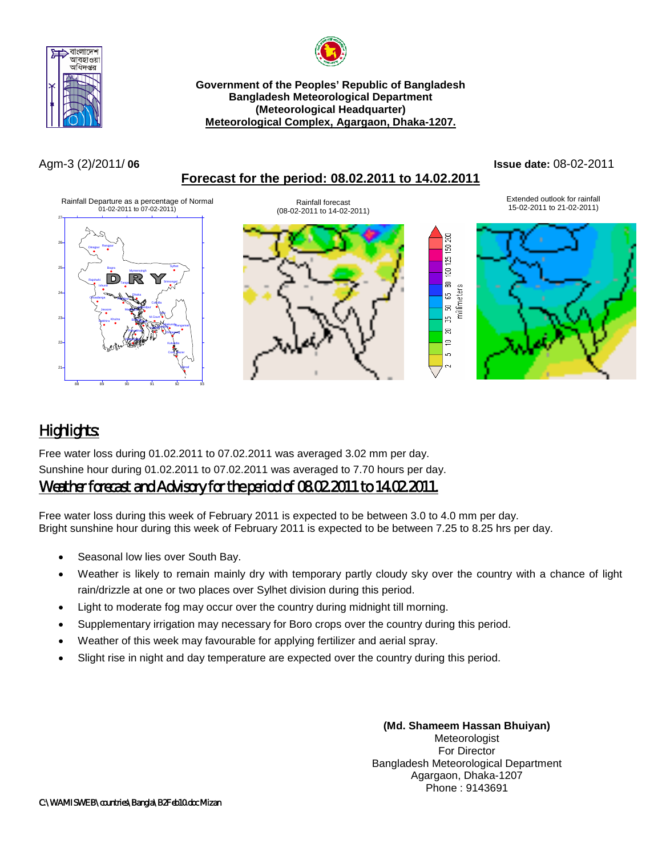



## **Government of the Peoples' Republic of Bangladesh Bangladesh Meteorological Department (Meteorological Headquarter) Meteorological Complex, Agargaon, Dhaka-1207.**

## Agm-3 (2)/2011/ **06 Issue date:** 08-02-2011

# **Forecast for the period: 08.02.2011 to 14.02.2011**

#### Extended outlook for rainfall Rainfall Departure as a percentage of Normal 01-02-2011 to 07-02-2011) Rainfall forecast Extended outlook for rainfall<br>15-02-2011 to 14-02-2011) 15-02-2011 to 21-02-2011) (08-02-2011 to 14-02-2011) 27 150 200 26 Rangpur Dinajpur R Sylhet g 25 Bogra Mymensingh Rि 8 Tangail millimeters Ishurdi 5 24 Dhaka Chuadanga Faridpur Comilla g Chandpur Jessore Madaripur Feni 55  $\overline{2}$ M.Court Khulna Satkhira Baragana Sitakund<sub>Rangamati</sub> HatiyaSandwip g Patuakhali Chittagong KhepuparaΞ 22 Kutubdia in) Coxs\_Bazar 21 Teknaf 88 89 90 91 92 93

# *Highlights:*

Free water loss during 01.02.2011 to 07.02.2011 was averaged 3.02 mm per day. Sunshine hour during 01.02.2011 to 07.02.2011 was averaged to 7.70 hours per day.

# *Weather forecast and Advisory for the period of 08.02.2011 to 14.02.2011.*

Free water loss during this week of February 2011 is expected to be between 3.0 to 4.0 mm per day. Bright sunshine hour during this week of February 2011 is expected to be between 7.25 to 8.25 hrs per day.

- Seasonal low lies over South Bay.
- Weather is likely to remain mainly dry with temporary partly cloudy sky over the country with a chance of light rain/drizzle at one or two places over Sylhet division during this period.
- Light to moderate fog may occur over the country during midnight till morning.
- Supplementary irrigation may necessary for Boro crops over the country during this period.
- Weather of this week may favourable for applying fertilizer and aerial spray.
- Slight rise in night and day temperature are expected over the country during this period.

**(Md. Shameem Hassan Bhuiyan)** Meteorologist For Director Bangladesh Meteorological Department Agargaon, Dhaka-1207 Phone : 9143691